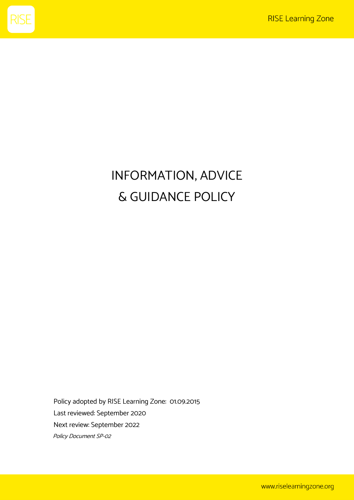

# INFORMATION, ADVICE & GUIDANCE POLICY

Policy adopted by RISE Learning Zone: 01.09.2015 Last reviewed: September 2020 Next review: September 2022 Policy Document SP-02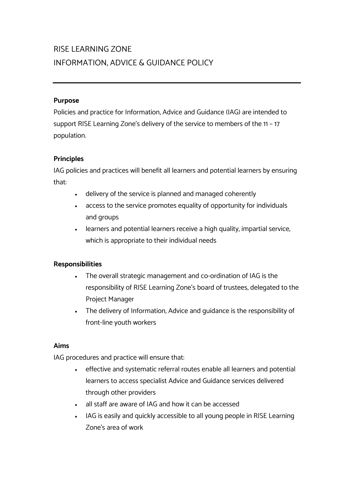## RISE LEARNING ZONE INFORMATION, ADVICE & GUIDANCE POLICY

#### **Purpose**

Policies and practice for Information, Advice and Guidance (IAG) are intended to support RISE Learning Zone's delivery of the service to members of the 11 – 17 population.

#### **Principles**

IAG policies and practices will benefit all learners and potential learners by ensuring that:

- delivery of the service is planned and managed coherently
- access to the service promotes equality of opportunity for individuals and groups
- learners and potential learners receive a high quality, impartial service, which is appropriate to their individual needs

#### **Responsibilities**

- The overall strategic management and co-ordination of IAG is the responsibility of RISE Learning Zone's board of trustees, delegated to the Project Manager
- The delivery of Information, Advice and guidance is the responsibility of front-line youth workers

#### **Aims**

IAG procedures and practice will ensure that:

- effective and systematic referral routes enable all learners and potential learners to access specialist Advice and Guidance services delivered through other providers
- all staff are aware of IAG and how it can be accessed
- IAG is easily and quickly accessible to all young people in RISE Learning Zone's area of work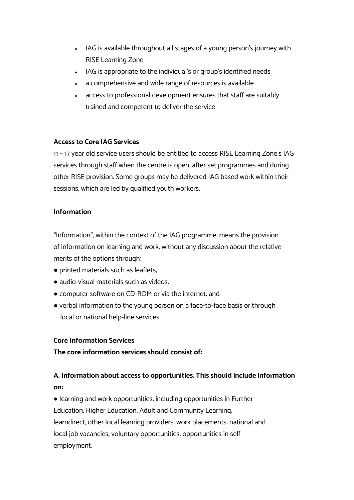- IAG is available throughout all stages of a young person's journey with RISE Learning Zone
- IAG is appropriate to the individual's or group's identified needs
- a comprehensive and wide range of resources is available
- access to professional development ensures that staff are suitably trained and competent to deliver the service

#### **Access to Core IAG Services**

11 – 17 year old service users should be entitled to access RISE Learning Zone's IAG services through staff when the centre is open, after set programmes and during other RISE provision. Some groups may be delivered IAG based work within their sessions, which are led by qualified youth workers.

#### **Information**

"Information", within the context of the IAG programme, means the provision of information on learning and work, without any discussion about the relative merits of the options through:

- printed materials such as leaflets;
- audio-visual materials such as videos,
- computer software on CD-ROM or via the internet; and
- verbal information to the young person on a face-to-face basis or through local or national help-line services.

#### **Core Information Services**

**The core information services should consist of:**

### **A. Information about access to opportunities. This should include information on:**

• learning and work opportunities, including opportunities in Further Education, Higher Education, Adult and Community Learning, learndirect, other local learning providers; work placements; national and local job vacancies; voluntary opportunities; opportunities in self employment;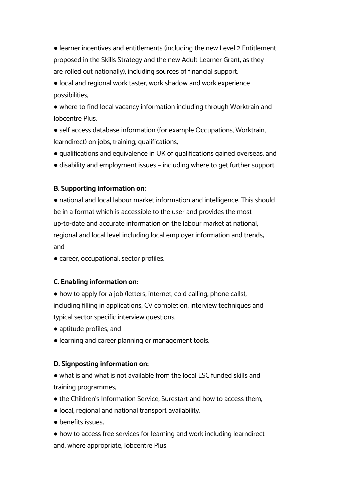● learner incentives and entitlements (including the new Level 2 Entitlement proposed in the Skills Strategy and the new Adult Learner Grant, as they are rolled out nationally), including sources of financial support;

● local and regional work taster, work shadow and work experience possibilities;

● where to find local vacancy information including through Worktrain and Jobcentre Plus;

● self access database information (for example Occupations, Worktrain, learndirect) on jobs, training, qualifications;

● qualifications and equivalence in UK of qualifications gained overseas; and

● disability and employment issues – including where to get further support.

#### **B. Supporting information on:**

• national and local labour market information and intelligence. This should be in a format which is accessible to the user and provides the most up-to-date and accurate information on the labour market at national, regional and local level including local employer information and trends; and

● career, occupational, sector profiles.

#### **C. Enabling information on:**

● how to apply for a job (letters, internet, cold calling, phone calls), including filling in applications, CV completion, interview techniques and typical sector specific interview questions;

- aptitude profiles; and
- learning and career planning or management tools.

#### **D. Signposting information on:**

● what is and what is not available from the local LSC funded skills and training programmes;

- the Children's Information Service, Surestart and how to access them,
- local, regional and national transport availability;
- benefits issues.

● how to access free services for learning and work including learndirect and, where appropriate, Jobcentre Plus;